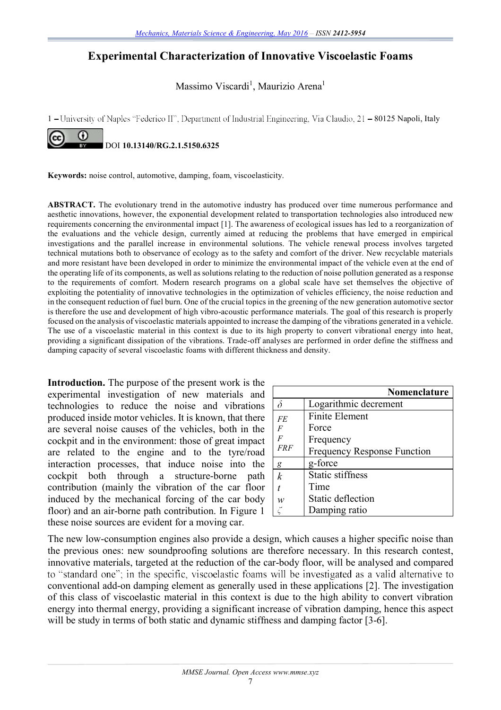## **Experimental Characterization of Innovative Viscoelastic Foams**

Massimo Viscardi<sup>1</sup>, Maurizio Arena<sup>1</sup>

1 - University of Naples "Federico II", Department of Industrial Engineering, Via Claudio, 21 - 80125 Napoli, Italy



**Keywords:** noise control, automotive, damping, foam, viscoelasticity.

**ABSTRACT.** The evolutionary trend in the automotive industry has produced over time numerous performance and aesthetic innovations, however, the exponential development related to transportation technologies also introduced new requirements concerning the environmental impact [1]. The awareness of ecological issues has led to a reorganization of the evaluations and the vehicle design, currently aimed at reducing the problems that have emerged in empirical investigations and the parallel increase in environmental solutions. The vehicle renewal process involves targeted technical mutations both to observance of ecology as to the safety and comfort of the driver. New recyclable materials and more resistant have been developed in order to minimize the environmental impact of the vehicle even at the end of the operating life of its components, as well as solutions relating to the reduction of noise pollution generated as a response to the requirements of comfort. Modern research programs on a global scale have set themselves the objective of exploiting the potentiality of innovative technologies in the optimization of vehicles efficiency, the noise reduction and in the consequent reduction of fuel burn. One of the crucial topics in the greening of the new generation automotive sector is therefore the use and development of high vibro-acoustic performance materials. The goal of this research is properly focused on the analysis of viscoelastic materials appointed to increase the damping of the vibrations generated in a vehicle. The use of a viscoelastic material in this context is due to its high property to convert vibrational energy into heat, providing a significant dissipation of the vibrations. Trade-off analyses are performed in order define the stiffness and damping capacity of several viscoelastic foams with different thickness and density.

**Introduction.** The purpose of the present work is the experimental investigation of new materials and technologies to reduce the noise and vibrations produced inside motor vehicles. It is known, that there are several noise causes of the vehicles, both in the cockpit and in the environment: those of great impact are related to the engine and to the tyre/road interaction processes, that induce noise into the cockpit both through a structure-borne path contribution (mainly the vibration of the car floor induced by the mechanical forcing of the car body floor) and an air-borne path contribution. In Figure 1 these noise sources are evident for a moving car.

|                  | Nomenclature                |
|------------------|-----------------------------|
| δ                | Logarithmic decrement       |
| <b>FE</b>        | <b>Finite Element</b>       |
| $\overline{F}$   | Force                       |
| $\overline{F}$   | Frequency                   |
| <i>FRF</i>       | Frequency Response Function |
| g                | g-force                     |
| $\boldsymbol{k}$ | <b>Static stiffness</b>     |
|                  | Time                        |
| w                | <b>Static deflection</b>    |
|                  | Damping ratio               |

The new low-consumption engines also provide a design, which causes a higher specific noise than the previous ones: new soundproofing solutions are therefore necessary. In this research contest, innovative materials, targeted at the reduction of the car-body floor, will be analysed and compared to "standard one"; in the specific, viscoelastic foams will be investigated as a valid alternative to conventional add-on damping element as generally used in these applications [2]. The investigation of this class of viscoelastic material in this context is due to the high ability to convert vibration energy into thermal energy, providing a significant increase of vibration damping, hence this aspect will be study in terms of both static and dynamic stiffness and damping factor [3-6].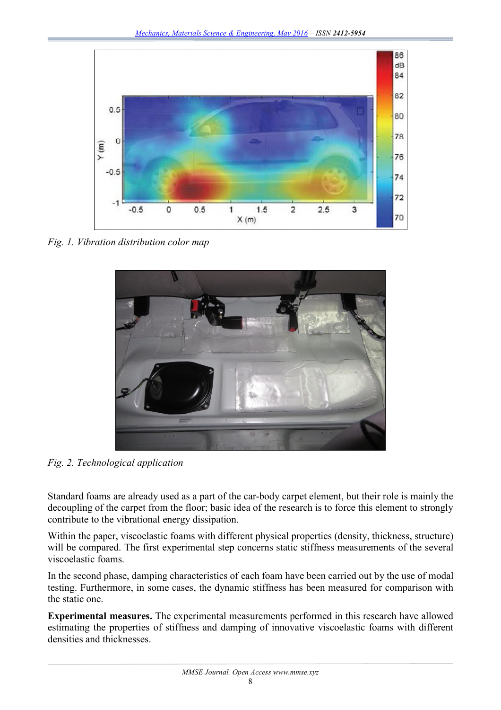

*Fig. 1. Vibration distribution color map* 



*Fig. 2. Technological application*

Standard foams are already used as a part of the car-body carpet element, but their role is mainly the decoupling of the carpet from the floor; basic idea of the research is to force this element to strongly contribute to the vibrational energy dissipation.

Within the paper, viscoelastic foams with different physical properties (density, thickness, structure) will be compared. The first experimental step concerns static stiffness measurements of the several viscoelastic foams.

In the second phase, damping characteristics of each foam have been carried out by the use of modal testing. Furthermore, in some cases, the dynamic stiffness has been measured for comparison with the static one.

**Experimental measures.** The experimental measurements performed in this research have allowed estimating the properties of stiffness and damping of innovative viscoelastic foams with different densities and thicknesses.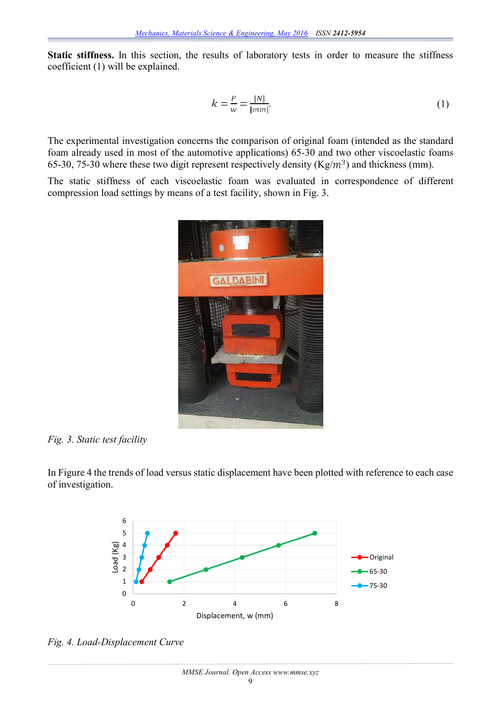Static stiffness. In this section, the results of laboratory tests in order to measure the stiffness coefficient (1) will be explained.

$$
k = \frac{F}{w} = \frac{[N]}{[mm]}.
$$
\n<sup>(1)</sup>

The experimental investigation concerns the comparison of original foam (intended as the standard foam already used in most of the automotive applications) 65-30 and two other viscoelastic foams 65-30, 75-30 where these two digit represent respectively density ( $Kg/m<sup>3</sup>$ ) and thickness (mm).

The static stiffness of each viscoelastic foam was evaluated in correspondence of different compression load settings by means of a test facility, shown in Fig. 3.



## *Fig. 3. Static test facility*

In Figure 4 the trends of load versus static displacement have been plotted with reference to each case of investigation.



*Fig. 4. Load-Displacement Curve*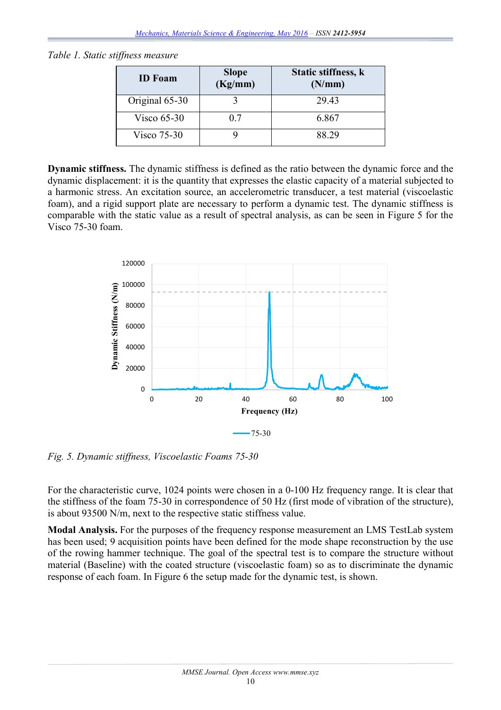*Table 1. Static stiffness measure*

| <b>ID</b> Foam | <b>Slope</b><br>(Kg/mm) | Static stiffness, k<br>(N/mm) |
|----------------|-------------------------|-------------------------------|
| Original 65-30 |                         | 29.43                         |
| Visco $65-30$  | 07                      | 6.867                         |
| Visco $75-30$  |                         | 88.29                         |

**Dynamic stiffness.** The dynamic stiffness is defined as the ratio between the dynamic force and the dynamic displacement: it is the quantity that expresses the elastic capacity of a material subjected to a harmonic stress. An excitation source, an accelerometric transducer, a test material (viscoelastic foam), and a rigid support plate are necessary to perform a dynamic test. The dynamic stiffness is comparable with the static value as a result of spectral analysis, as can be seen in Figure 5 for the Visco 75-30 foam.



*Fig. 5. Dynamic stiffness, Viscoelastic Foams 75-30*

For the characteristic curve, 1024 points were chosen in a 0-100 Hz frequency range. It is clear that the stiffness of the foam 75-30 in correspondence of 50 Hz (first mode of vibration of the structure), is about 93500 N/m, next to the respective static stiffness value.

**Modal Analysis.** For the purposes of the frequency response measurement an LMS TestLab system has been used; 9 acquisition points have been defined for the mode shape reconstruction by the use of the rowing hammer technique. The goal of the spectral test is to compare the structure without material (Baseline) with the coated structure (viscoelastic foam) so as to discriminate the dynamic response of each foam. In Figure 6 the setup made for the dynamic test, is shown.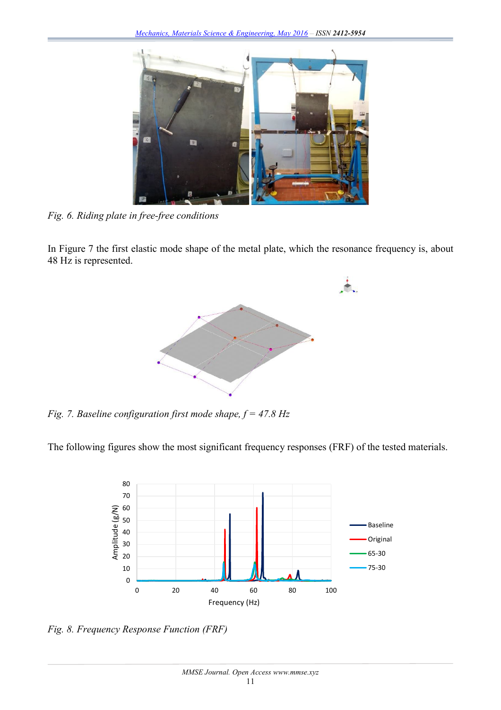

*Fig. 6. Riding plate in free-free conditions*

In Figure 7 the first elastic mode shape of the metal plate, which the resonance frequency is, about 48 Hz is represented.



*Fig. 7. Baseline configuration first mode shape, f = 47.8 Hz*

The following figures show the most significant frequency responses (FRF) of the tested materials.



*Fig. 8. Frequency Response Function (FRF)*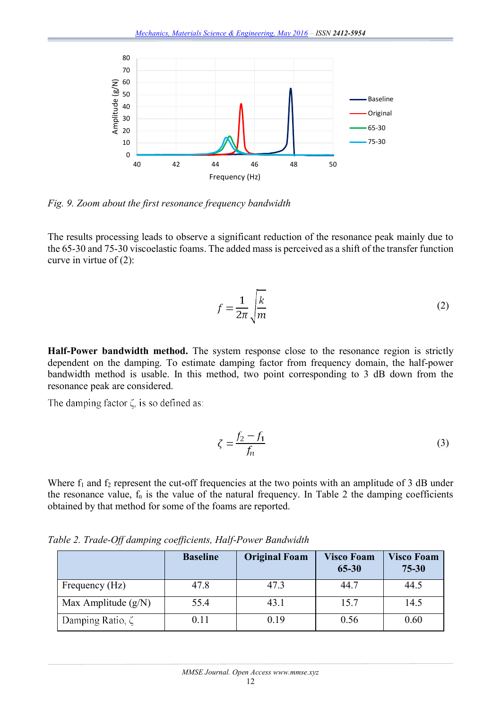

*Fig. 9. Zoom about the first resonance frequency bandwidth*

The results processing leads to observe a significant reduction of the resonance peak mainly due to the 65-30 and 75-30 viscoelastic foams. The added mass is perceived as a shift of the transfer function curve in virtue of (2):

$$
f = \frac{1}{2\pi} \sqrt{\frac{k}{m}}
$$
 (2)

**Half-Power bandwidth method.** The system response close to the resonance region is strictly dependent on the damping. To estimate damping factor from frequency domain, the half-power bandwidth method is usable. In this method, two point corresponding to 3 dB down from the resonance peak are considered.

The damping factor  $\zeta$  is so defined as:

$$
\zeta = \frac{f_2 - f_1}{f_n} \tag{3}
$$

Where  $f_1$  and  $f_2$  represent the cut-off frequencies at the two points with an amplitude of 3 dB under the resonance value,  $f_n$  is the value of the natural frequency. In Table 2 the damping coefficients obtained by that method for some of the foams are reported.

|                        | <b>Baseline</b> | <b>Original Foam</b> | <b>Visco Foam</b><br>65-30 | <b>Visco Foam</b><br>$75 - 30$ |
|------------------------|-----------------|----------------------|----------------------------|--------------------------------|
| Frequency (Hz)         | 47.8            | 47.3                 | 44.7                       | 44.5                           |
| Max Amplitude $(g/N)$  | 55.4            | 43.1                 | 15.7                       | 14.5                           |
| Damping Ratio, $\zeta$ | 0.11            | 0.19                 | 0.56                       | 0.60                           |

*Table 2. Trade-Off damping coefficients, Half-Power Bandwidth*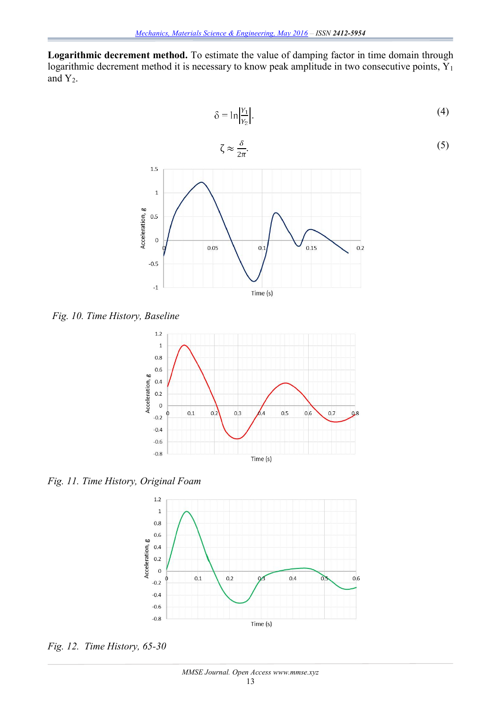**Logarithmic decrement method.** To estimate the value of damping factor in time domain through logarithmic decrement method it is necessary to know peak amplitude in two consecutive points, Y<sub>1</sub> and  $Y_2$ .



*Fig. 10. Time History, Baseline*



*Fig. 11. Time History, Original Foam*



*Fig. 12. Time History, 65-30*